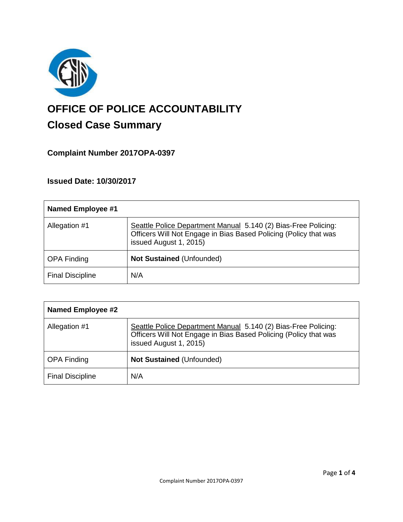

# **OFFICE OF POLICE ACCOUNTABILITY**

# **Closed Case Summary**

## **Complaint Number 2017OPA-0397**

### **Issued Date: 10/30/2017**

| Named Employee #1       |                                                                                                                                                              |
|-------------------------|--------------------------------------------------------------------------------------------------------------------------------------------------------------|
| Allegation #1           | Seattle Police Department Manual 5.140 (2) Bias-Free Policing:<br>Officers Will Not Engage in Bias Based Policing (Policy that was<br>issued August 1, 2015) |
| <b>OPA Finding</b>      | <b>Not Sustained (Unfounded)</b>                                                                                                                             |
| <b>Final Discipline</b> | N/A                                                                                                                                                          |

| <b>Named Employee #2</b> |                                                                                                                                                              |
|--------------------------|--------------------------------------------------------------------------------------------------------------------------------------------------------------|
| Allegation #1            | Seattle Police Department Manual 5.140 (2) Bias-Free Policing:<br>Officers Will Not Engage in Bias Based Policing (Policy that was<br>issued August 1, 2015) |
| <b>OPA Finding</b>       | <b>Not Sustained (Unfounded)</b>                                                                                                                             |
| <b>Final Discipline</b>  | N/A                                                                                                                                                          |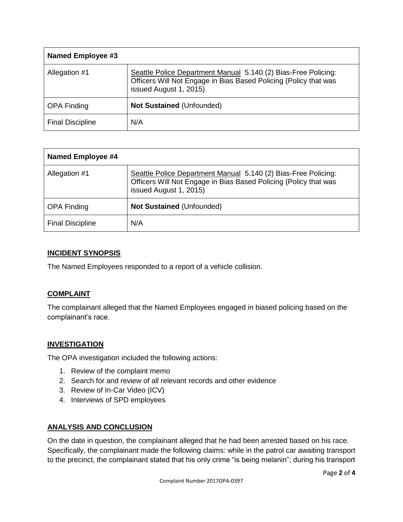| Named Employee #3       |                                                                                                                                                              |  |
|-------------------------|--------------------------------------------------------------------------------------------------------------------------------------------------------------|--|
| Allegation #1           | Seattle Police Department Manual 5.140 (2) Bias-Free Policing:<br>Officers Will Not Engage in Bias Based Policing (Policy that was<br>issued August 1, 2015) |  |
| <b>OPA Finding</b>      | <b>Not Sustained (Unfounded)</b>                                                                                                                             |  |
| <b>Final Discipline</b> | N/A                                                                                                                                                          |  |

| Named Employee #4       |                                                                                                                                                              |
|-------------------------|--------------------------------------------------------------------------------------------------------------------------------------------------------------|
| Allegation #1           | Seattle Police Department Manual 5.140 (2) Bias-Free Policing:<br>Officers Will Not Engage in Bias Based Policing (Policy that was<br>issued August 1, 2015) |
| <b>OPA Finding</b>      | <b>Not Sustained (Unfounded)</b>                                                                                                                             |
| <b>Final Discipline</b> | N/A                                                                                                                                                          |

#### **INCIDENT SYNOPSIS**

The Named Employees responded to a report of a vehicle collision.

#### **COMPLAINT**

The complainant alleged that the Named Employees engaged in biased policing based on the complainant's race.

#### **INVESTIGATION**

The OPA investigation included the following actions:

- 1. Review of the complaint memo
- 2. Search for and review of all relevant records and other evidence
- 3. Review of In-Car Video (ICV)
- 4. Interviews of SPD employees

#### **ANALYSIS AND CONCLUSION**

On the date in question, the complainant alleged that he had been arrested based on his race. Specifically, the complainant made the following claims: while in the patrol car awaiting transport to the precinct, the complainant stated that his only crime "is being melanin"; during his transport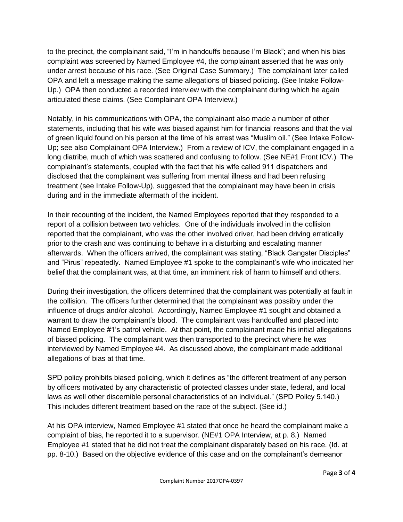to the precinct, the complainant said, "I'm in handcuffs because I'm Black"; and when his bias complaint was screened by Named Employee #4, the complainant asserted that he was only under arrest because of his race. (See Original Case Summary.) The complainant later called OPA and left a message making the same allegations of biased policing. (See Intake Follow-Up.) OPA then conducted a recorded interview with the complainant during which he again articulated these claims. (See Complainant OPA Interview.)

Notably, in his communications with OPA, the complainant also made a number of other statements, including that his wife was biased against him for financial reasons and that the vial of green liquid found on his person at the time of his arrest was "Muslim oil." (See Intake Follow-Up; see also Complainant OPA Interview.) From a review of ICV, the complainant engaged in a long diatribe, much of which was scattered and confusing to follow. (See NE#1 Front ICV.) The complainant's statements, coupled with the fact that his wife called 911 dispatchers and disclosed that the complainant was suffering from mental illness and had been refusing treatment (see Intake Follow-Up), suggested that the complainant may have been in crisis during and in the immediate aftermath of the incident.

In their recounting of the incident, the Named Employees reported that they responded to a report of a collision between two vehicles. One of the individuals involved in the collision reported that the complainant, who was the other involved driver, had been driving erratically prior to the crash and was continuing to behave in a disturbing and escalating manner afterwards. When the officers arrived, the complainant was stating, "Black Gangster Disciples" and "Pirus" repeatedly. Named Employee #1 spoke to the complainant's wife who indicated her belief that the complainant was, at that time, an imminent risk of harm to himself and others.

During their investigation, the officers determined that the complainant was potentially at fault in the collision. The officers further determined that the complainant was possibly under the influence of drugs and/or alcohol. Accordingly, Named Employee #1 sought and obtained a warrant to draw the complainant's blood. The complainant was handcuffed and placed into Named Employee #1's patrol vehicle. At that point, the complainant made his initial allegations of biased policing. The complainant was then transported to the precinct where he was interviewed by Named Employee #4. As discussed above, the complainant made additional allegations of bias at that time.

SPD policy prohibits biased policing, which it defines as "the different treatment of any person by officers motivated by any characteristic of protected classes under state, federal, and local laws as well other discernible personal characteristics of an individual." (SPD Policy 5.140.) This includes different treatment based on the race of the subject. (See id.)

At his OPA interview, Named Employee #1 stated that once he heard the complainant make a complaint of bias, he reported it to a supervisor. (NE#1 OPA Interview, at p. 8.) Named Employee #1 stated that he did not treat the complainant disparately based on his race. (Id. at pp. 8-10.) Based on the objective evidence of this case and on the complainant's demeanor